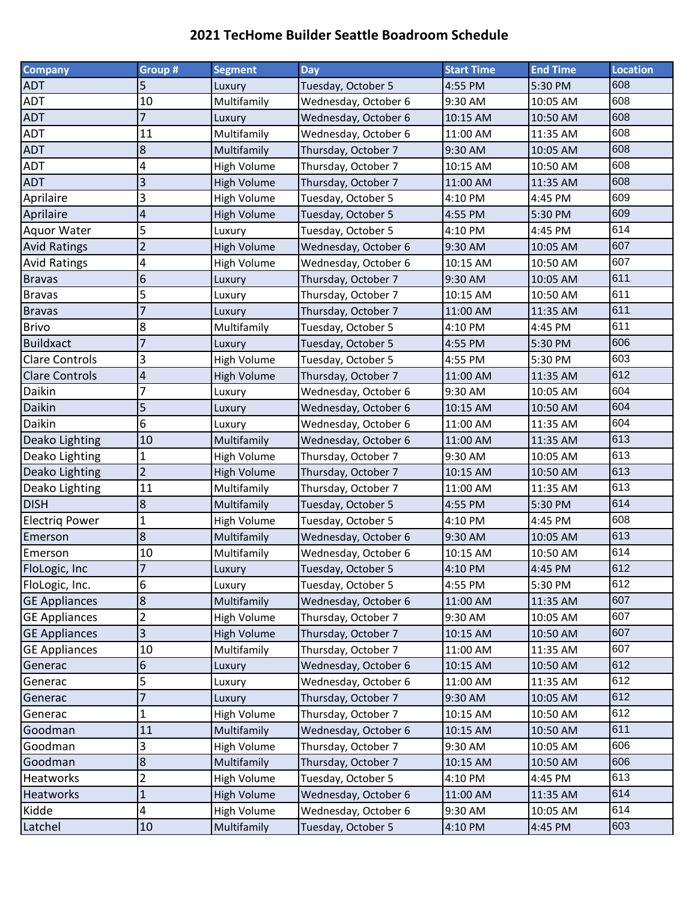## **2021 TecHome Builder Seattle Boadroom Schedule**

| Company               | Group #                 | <b>Segment</b>     | <b>Day</b>           | <b>Start Time</b> | <b>End Time</b> | <b>Location</b> |
|-----------------------|-------------------------|--------------------|----------------------|-------------------|-----------------|-----------------|
| <b>ADT</b>            | 5                       | Luxury             | Tuesday, October 5   | 4:55 PM           | 5:30 PM         | 608             |
| <b>ADT</b>            | 10                      | Multifamily        | Wednesday, October 6 | 9:30 AM           | 10:05 AM        | 608             |
| <b>ADT</b>            | 7                       | Luxury             | Wednesday, October 6 | 10:15 AM          | 10:50 AM        | 608             |
| <b>ADT</b>            | 11                      | Multifamily        | Wednesday, October 6 | 11:00 AM          | 11:35 AM        | 608             |
| <b>ADT</b>            | 8                       | Multifamily        | Thursday, October 7  | 9:30 AM           | 10:05 AM        | 608             |
| <b>ADT</b>            | 4                       | High Volume        | Thursday, October 7  | 10:15 AM          | 10:50 AM        | 608             |
| <b>ADT</b>            | 3                       | High Volume        | Thursday, October 7  | 11:00 AM          | 11:35 AM        | 608             |
| Aprilaire             | 3                       | High Volume        | Tuesday, October 5   | 4:10 PM           | 4:45 PM         | 609             |
| Aprilaire             | 4                       | High Volume        | Tuesday, October 5   | 4:55 PM           | 5:30 PM         | 609             |
| <b>Aquor Water</b>    | 5                       | Luxury             | Tuesday, October 5   | 4:10 PM           | 4:45 PM         | 614             |
| <b>Avid Ratings</b>   | $\overline{2}$          | <b>High Volume</b> | Wednesday, October 6 | 9:30 AM           | 10:05 AM        | 607             |
| <b>Avid Ratings</b>   | 4                       | <b>High Volume</b> | Wednesday, October 6 | 10:15 AM          | 10:50 AM        | 607             |
| <b>Bravas</b>         | 6                       | Luxury             | Thursday, October 7  | 9:30 AM           | 10:05 AM        | 611             |
| <b>Bravas</b>         | 5                       | Luxury             | Thursday, October 7  | 10:15 AM          | 10:50 AM        | 611             |
| <b>Bravas</b>         | 7                       | Luxury             | Thursday, October 7  | 11:00 AM          | 11:35 AM        | 611             |
| <b>Brivo</b>          | 8                       | Multifamily        | Tuesday, October 5   | 4:10 PM           | 4:45 PM         | 611             |
| <b>Buildxact</b>      | 7                       | Luxury             | Tuesday, October 5   | 4:55 PM           | 5:30 PM         | 606             |
| <b>Clare Controls</b> | 3                       | High Volume        | Tuesday, October 5   | 4:55 PM           | 5:30 PM         | 603             |
| <b>Clare Controls</b> | 4                       | High Volume        | Thursday, October 7  | 11:00 AM          | 11:35 AM        | 612             |
| Daikin                | 7                       | Luxury             | Wednesday, October 6 | 9:30 AM           | 10:05 AM        | 604             |
| Daikin                | 5                       | Luxury             | Wednesday, October 6 | 10:15 AM          | 10:50 AM        | 604             |
| Daikin                | 6                       | Luxury             | Wednesday, October 6 | 11:00 AM          | 11:35 AM        | 604             |
| Deako Lighting        | 10                      | Multifamily        | Wednesday, October 6 | 11:00 AM          | 11:35 AM        | 613             |
| Deako Lighting        | $\mathbf{1}$            | High Volume        | Thursday, October 7  | 9:30 AM           | 10:05 AM        | 613             |
| Deako Lighting        | $\overline{2}$          | High Volume        | Thursday, October 7  | 10:15 AM          | 10:50 AM        | 613             |
| Deako Lighting        | 11                      | Multifamily        | Thursday, October 7  | 11:00 AM          | 11:35 AM        | 613             |
| <b>DISH</b>           | 8                       | Multifamily        | Tuesday, October 5   | 4:55 PM           | 5:30 PM         | 614             |
| <b>Electrig Power</b> | $\mathbf{1}$            | High Volume        | Tuesday, October 5   | 4:10 PM           | 4:45 PM         | 608             |
| Emerson               | 8                       | Multifamily        | Wednesday, October 6 | 9:30 AM           | 10:05 AM        | 613             |
| Emerson               | 10                      | Multifamily        | Wednesday, October 6 | 10:15 AM          | 10:50 AM        | 614             |
| FloLogic, Inc         | $\overline{7}$          | Luxury             | Tuesday, October 5   | 4:10 PM           | 4:45 PM         | 612             |
| FloLogic, Inc.        | 6                       | Luxury             | Tuesday, October 5   | 4:55 PM           | 5:30 PM         | 612             |
| <b>GE Appliances</b>  | 8                       | Multifamily        | Wednesday, October 6 | 11:00 AM          | 11:35 AM        | 607             |
| <b>GE Appliances</b>  | 2                       | High Volume        | Thursday, October 7  | 9:30 AM           | 10:05 AM        | 607             |
| <b>GE Appliances</b>  | 3                       | <b>High Volume</b> | Thursday, October 7  | 10:15 AM          | 10:50 AM        | 607             |
| <b>GE Appliances</b>  | 10                      | Multifamily        | Thursday, October 7  | 11:00 AM          | 11:35 AM        | 607             |
| Generac               | 6                       | Luxury             | Wednesday, October 6 | 10:15 AM          | 10:50 AM        | 612             |
| Generac               | 5                       | Luxury             | Wednesday, October 6 | 11:00 AM          | 11:35 AM        | 612             |
| Generac               | 7                       | Luxury             | Thursday, October 7  | 9:30 AM           | 10:05 AM        | 612             |
| Generac               | 1                       | High Volume        | Thursday, October 7  | 10:15 AM          | 10:50 AM        | 612             |
| Goodman               | 11                      | Multifamily        | Wednesday, October 6 | 10:15 AM          | 10:50 AM        | 611             |
| Goodman               | 3                       | <b>High Volume</b> | Thursday, October 7  | 9:30 AM           | 10:05 AM        | 606             |
| Goodman               | 8                       | Multifamily        | Thursday, October 7  | 10:15 AM          | 10:50 AM        | 606             |
| <b>Heatworks</b>      | 2                       | High Volume        | Tuesday, October 5   | 4:10 PM           | 4:45 PM         | 613             |
| <b>Heatworks</b>      | $\mathbf{1}$            | <b>High Volume</b> | Wednesday, October 6 | 11:00 AM          | 11:35 AM        | 614             |
| Kidde                 | $\overline{\mathbf{4}}$ | High Volume        | Wednesday, October 6 | 9:30 AM           | 10:05 AM        | 614             |
| Latchel               | 10                      | Multifamily        | Tuesday, October 5   | 4:10 PM           | 4:45 PM         | 603             |